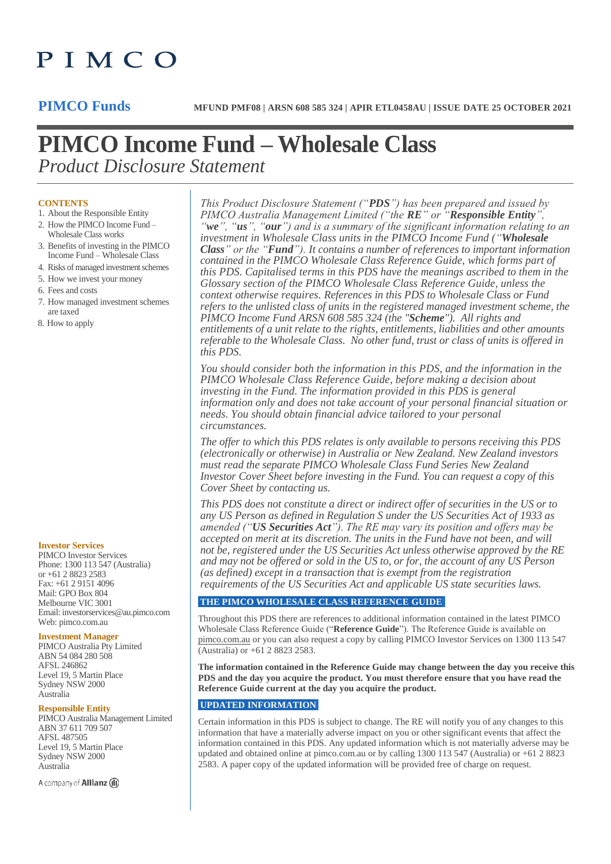# PIMCO

## **PIMCO Income Fund – Wholesale Class** *Product Disclosure Statement*

#### **CONTENTS**

- 1. About the Responsible Entity
- 2. How the PIMCO Income Fund –
- Wholesale Class works 3. Benefits of investing in the PIMCO Income Fund – Wholesale Class
- 4. Risks of managed investment schemes
- 5. How we invest your money
- 6. Fees and costs
- 7. How managed investment schemes are taxed
- 8. How to apply

#### **Investor Services**

PIMCO Investor Services Phone: 1300 113 547 (Australia) or +61 2 8823 2583 Fax: +61 2 9151 4096 Mail: GPO Box 804 Melbourne VIC 3001 Email: investorservices@au.pimco.com Web: pimco.com.au

#### **Investment Manager**

PIMCO Australia Pty Limited ABN 54 084 280 508 AFSL 246862 Level 19, 5 Martin Place Sydney NSW 2000 Australia

#### **Responsible Entity**

PIMCO Australia Management Limited ABN 37 611 709 507 AFSL 487505 Level 19, 5 Martin Place Sydney NSW 2000 Australia

A company of **Allianz** (ii)

*This Product Disclosure Statement ("PDS") has been prepared and issued by PIMCO Australia Management Limited ("the RE" or "Responsible Entity", "we", "us", "our") and is a summary of the significant information relating to an investment in Wholesale Class units in the PIMCO Income Fund ("Wholesale Class" or the "Fund"). It contains a number of references to important information contained in the PIMCO Wholesale Class Reference Guide, which forms part of this PDS. Capitalised terms in this PDS have the meanings ascribed to them in the Glossary section of the PIMCO Wholesale Class Reference Guide, unless the context otherwise requires. References in this PDS to Wholesale Class or Fund refers to the unlisted class of units in the registered managed investment scheme, the PIMCO Income Fund ARSN 608 585 324 (the "Scheme"). All rights and entitlements of a unit relate to the rights, entitlements, liabilities and other amounts referable to the Wholesale Class. No other fund, trust or class of units is offered in this PDS.*

*You should consider both the information in this PDS, and the information in the PIMCO Wholesale Class Reference Guide, before making a decision about investing in the Fund. The information provided in this PDS is general information only and does not take account of your personal financial situation or needs. You should obtain financial advice tailored to your personal circumstances.*

*The offer to which this PDS relates is only available to persons receiving this PDS (electronically or otherwise) in Australia or New Zealand. New Zealand investors must read the separate PIMCO Wholesale Class Fund Series New Zealand Investor Cover Sheet before investing in the Fund. You can request a copy of this Cover Sheet by contacting us.* 

*This PDS does not constitute a direct or indirect offer of securities in the US or to any US Person as defined in Regulation S under the US Securities Act of 1933 as amended ("US Securities Act"). The RE may vary its position and offers may be accepted on merit at its discretion. The units in the Fund have not been, and will not be, registered under the US Securities Act unless otherwise approved by the RE and may not be offered or sold in the US to, or for, the account of any US Person (as defined) except in a transaction that is exempt from the registration requirements of the US Securities Act and applicable US state securities laws.*

#### **THE PIMCO WHOLESALE CLASS REFERENCE GUIDE**

Throughout this PDS there are references to additional information contained in the latest PIMCO Wholesale Class Reference Guide ("**Reference Guide**"). The Reference Guide is available on pimco.com.au or you can also request a copy by calling PIMCO Investor Services on 1300 113 547 (Australia) or +61 2 8823 2583.

**The information contained in the Reference Guide may change between the day you receive this PDS and the day you acquire the product. You must therefore ensure that you have read the Reference Guide current at the day you acquire the product.**

#### **UPDATED INFORMATION**

Certain information in this PDS is subject to change. The RE will notify you of any changes to this information that have a materially adverse impact on you or other significant events that affect the information contained in this PDS. Any updated information which is not materially adverse may be updated and obtained online at pimco.com.au or by calling 1300 113 547 (Australia) or +61 2 8823 2583. A paper copy of the updated information will be provided free of charge on request.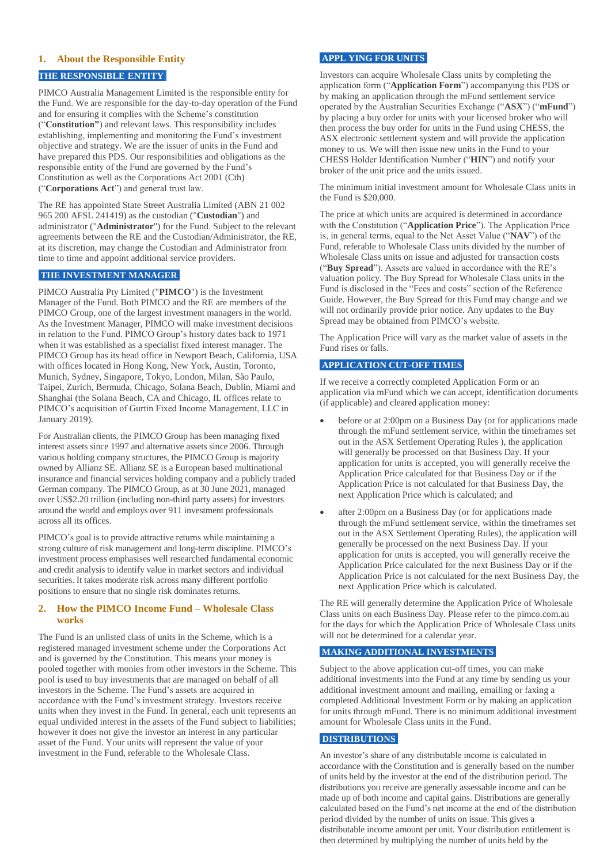### **1. About the Responsible Entity**

### **THE RESPONSIBLE ENTITY**

PIMCO Australia Management Limited is the responsible entity for the Fund. We are responsible for the day-to-day operation of the Fund and for ensuring it complies with the Scheme's constitution ("**Constitution"**) and relevant laws. This responsibility includes establishing, implementing and monitoring the Fund's investment objective and strategy. We are the issuer of units in the Fund and have prepared this PDS. Our responsibilities and obligations as the responsible entity of the Fund are governed by the Fund's Constitution as well as the Corporations Act 2001 (Cth) ("**Corporations Act**") and general trust law.

The RE has appointed State Street Australia Limited (ABN 21 002 965 200 AFSL 241419) as the custodian ("**Custodian**") and administrator ("**Administrator**") for the Fund. Subject to the relevant agreements between the RE and the Custodian/Administrator, the RE, at its discretion, may change the Custodian and Administrator from time to time and appoint additional service providers.

#### **THE INVESTMENT MANAGER**

PIMCO Australia Pty Limited ("**PIMCO**") is the Investment Manager of the Fund. Both PIMCO and the RE are members of the PIMCO Group, one of the largest investment managers in the world. As the Investment Manager, PIMCO will make investment decisions in relation to the Fund. PIMCO Group's history dates back to 1971 when it was established as a specialist fixed interest manager. The PIMCO Group has its head office in Newport Beach, California, USA with offices located in Hong Kong, New York, Austin, Toronto, Munich, Sydney, Singapore, Tokyo, London, Milan, São Paulo, Taipei, Zurich, Bermuda, Chicago, Solana Beach, Dublin, Miami and Shanghai (the Solana Beach, CA and Chicago, IL offices relate to PIMCO's acquisition of Gurtin Fixed Income Management, LLC in January 2019).

For Australian clients, the PIMCO Group has been managing fixed interest assets since 1997 and alternative assets since 2006. Through various holding company structures, the PIMCO Group is majority owned by Allianz SE. Allianz SE is a European based multinational insurance and financial services holding company and a publicly traded German company. The PIMCO Group, as at 30 June 2021, managed over US\$2.20 trillion (including non-third party assets) for investors around the world and employs over 911 investment professionals across all its offices.

PIMCO's goal is to provide attractive returns while maintaining a strong culture of risk management and long-term discipline. PIMCO's investment process emphasises well researched fundamental economic and credit analysis to identify value in market sectors and individual securities. It takes moderate risk across many different portfolio positions to ensure that no single risk dominates returns.

#### **2. How the PIMCO Income Fund – Wholesale Class works**

The Fund is an unlisted class of units in the Scheme, which is a registered managed investment scheme under the Corporations Act and is governed by the Constitution. This means your money is pooled together with monies from other investors in the Scheme. This pool is used to buy investments that are managed on behalf of all investors in the Scheme. The Fund's assets are acquired in accordance with the Fund's investment strategy. Investors receive units when they invest in the Fund. In general, each unit represents an equal undivided interest in the assets of the Fund subject to liabilities; however it does not give the investor an interest in any particular asset of the Fund. Your units will represent the value of your investment in the Fund, referable to the Wholesale Class.

#### **APPL YING FOR UNITS**

Investors can acquire Wholesale Class units by completing the application form ("**Application Form**") accompanying this PDS or by making an application through the mFund settlement service operated by the Australian Securities Exchange ("**ASX**") ("**mFund**") by placing a buy order for units with your licensed broker who will then process the buy order for units in the Fund using CHESS, the ASX electronic settlement system and will provide the application money to us. We will then issue new units in the Fund to your CHESS Holder Identification Number ("**HIN**") and notify your broker of the unit price and the units issued.

The minimum initial investment amount for Wholesale Class units in the Fund is \$20,000.

The price at which units are acquired is determined in accordance with the Constitution ("**Application Price**"). The Application Price is, in general terms, equal to the Net Asset Value ("**NAV**") of the Fund, referable to Wholesale Class units divided by the number of Wholesale Class units on issue and adjusted for transaction costs ("**Buy Spread**"). Assets are valued in accordance with the RE's valuation policy. The Buy Spread for Wholesale Class units in the Fund is disclosed in the "Fees and costs" section of the Reference Guide. However, the Buy Spread for this Fund may change and we will not ordinarily provide prior notice. Any updates to the Buy Spread may be obtained from PIMCO's website.

The Application Price will vary as the market value of assets in the Fund rises or falls.

#### **APPLICATION CUT-OFF TIMES**

If we receive a correctly completed Application Form or an application via mFund which we can accept, identification documents (if applicable) and cleared application money:

- before or at 2:00pm on a Business Day (or for applications made through the mFund settlement service, within the timeframes set out in the ASX Settlement Operating Rules ), the application will generally be processed on that Business Day. If your application for units is accepted, you will generally receive the Application Price calculated for that Business Day or if the Application Price is not calculated for that Business Day, the next Application Price which is calculated; and
- after 2:00pm on a Business Day (or for applications made through the mFund settlement service, within the timeframes set out in the ASX Settlement Operating Rules), the application will generally be processed on the next Business Day. If your application for units is accepted, you will generally receive the Application Price calculated for the next Business Day or if the Application Price is not calculated for the next Business Day, the next Application Price which is calculated.

The RE will generally determine the Application Price of Wholesale Class units on each Business Day. Please refer to the pimco.com.au for the days for which the Application Price of Wholesale Class units will not be determined for a calendar year.

#### **MAKING ADDITIONAL INVESTMENTS**

Subject to the above application cut-off times, you can make additional investments into the Fund at any time by sending us your additional investment amount and mailing, emailing or faxing a completed Additional Investment Form or by making an application for units through mFund. There is no minimum additional investment amount for Wholesale Class units in the Fund.

#### **DISTRIBUTIONS**

An investor's share of any distributable income is calculated in accordance with the Constitution and is generally based on the number of units held by the investor at the end of the distribution period. The distributions you receive are generally assessable income and can be made up of both income and capital gains. Distributions are generally calculated based on the Fund's net income at the end of the distribution period divided by the number of units on issue. This gives a distributable income amount per unit. Your distribution entitlement is then determined by multiplying the number of units held by the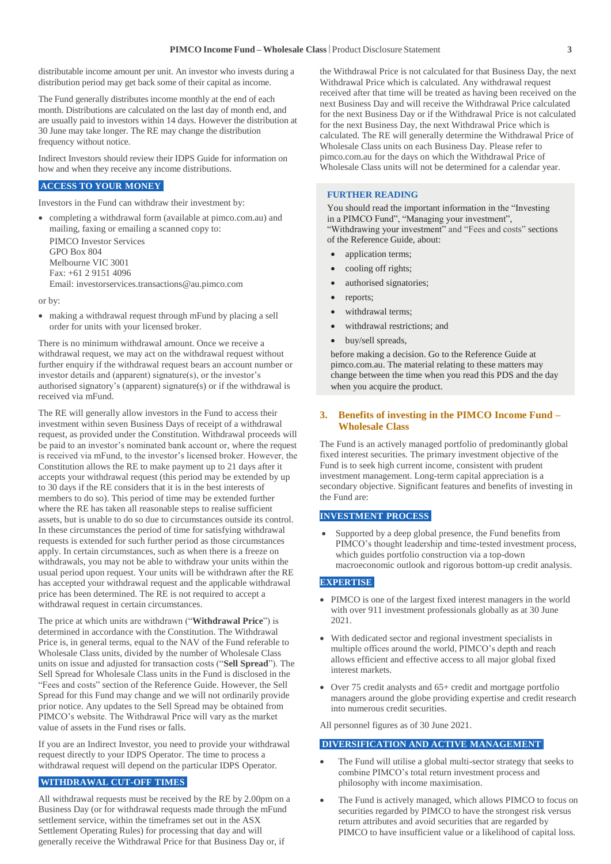distributable income amount per unit. An investor who invests during a distribution period may get back some of their capital as income.

The Fund generally distributes income monthly at the end of each month. Distributions are calculated on the last day of month end, and are usually paid to investors within 14 days. However the distribution at 30 June may take longer. The RE may change the distribution frequency without notice.

Indirect Investors should review their IDPS Guide for information on how and when they receive any income distributions.

#### **ACCESS TO YOUR MONEY**

Investors in the Fund can withdraw their investment by:

 completing a withdrawal form (available at pimco.com.au) and mailing, faxing or emailing a scanned copy to: PIMCO Investor Services GPO Box 804 Melbourne VIC 3001 Fax: +61 2 9151 4096 Email[: investorservices.transactions@au.pimco.com](mailto:investorservices.transactions@au.pimco.com)

or by:

 making a withdrawal request through mFund by placing a sell order for units with your licensed broker.

There is no minimum withdrawal amount. Once we receive a withdrawal request, we may act on the withdrawal request without further enquiry if the withdrawal request bears an account number or investor details and (apparent) signature(s), or the investor's authorised signatory's (apparent) signature(s) or if the withdrawal is received via mFund.

The RE will generally allow investors in the Fund to access their investment within seven Business Days of receipt of a withdrawal request, as provided under the Constitution. Withdrawal proceeds will be paid to an investor's nominated bank account or, where the request is received via mFund, to the investor's licensed broker. However, the Constitution allows the RE to make payment up to 21 days after it accepts your withdrawal request (this period may be extended by up to 30 days if the RE considers that it is in the best interests of members to do so). This period of time may be extended further where the RE has taken all reasonable steps to realise sufficient assets, but is unable to do so due to circumstances outside its control. In these circumstances the period of time for satisfying withdrawal requests is extended for such further period as those circumstances apply. In certain circumstances, such as when there is a freeze on withdrawals, you may not be able to withdraw your units within the usual period upon request. Your units will be withdrawn after the RE has accepted your withdrawal request and the applicable withdrawal price has been determined. The RE is not required to accept a withdrawal request in certain circumstances.

The price at which units are withdrawn ("**Withdrawal Price**") is determined in accordance with the Constitution. The Withdrawal Price is, in general terms, equal to the NAV of the Fund referable to Wholesale Class units, divided by the number of Wholesale Class units on issue and adjusted for transaction costs ("**Sell Spread**"). The Sell Spread for Wholesale Class units in the Fund is disclosed in the "Fees and costs" section of the Reference Guide. However, the Sell Spread for this Fund may change and we will not ordinarily provide prior notice. Any updates to the Sell Spread may be obtained from PIMCO's website. The Withdrawal Price will vary as the market value of assets in the Fund rises or falls.

If you are an Indirect Investor, you need to provide your withdrawal request directly to your IDPS Operator. The time to process a withdrawal request will depend on the particular IDPS Operator.

#### **WITHDRAWAL CUT-OFF TIMES**

All withdrawal requests must be received by the RE by 2.00pm on a Business Day (or for withdrawal requests made through the mFund settlement service, within the timeframes set out in the ASX Settlement Operating Rules) for processing that day and will generally receive the Withdrawal Price for that Business Day or, if

the Withdrawal Price is not calculated for that Business Day, the next Withdrawal Price which is calculated. Any withdrawal request received after that time will be treated as having been received on the next Business Day and will receive the Withdrawal Price calculated for the next Business Day or if the Withdrawal Price is not calculated for the next Business Day, the next Withdrawal Price which is calculated. The RE will generally determine the Withdrawal Price of Wholesale Class units on each Business Day. Please refer to pimco.com.au for the days on which the Withdrawal Price of Wholesale Class units will not be determined for a calendar year.

#### **FURTHER READING**

You should read the important information in the "Investing in a PIMCO Fund", "Managing your investment", "Withdrawing your investment" and "Fees and costs" sections of the Reference Guide, about:

- application terms;
- cooling off rights;
- authorised signatories;
- reports;
- withdrawal terms;
- withdrawal restrictions; and
- buy/sell spreads,

before making a decision. Go to the Reference Guide at pimco.com.au. The material relating to these matters may change between the time when you read this PDS and the day when you acquire the product.

#### **3. Benefits of investing in the PIMCO Income Fund – Wholesale Class**

The Fund is an actively managed portfolio of predominantly global fixed interest securities. The primary investment objective of the Fund is to seek high current income, consistent with prudent investment management. Long-term capital appreciation is a secondary objective. Significant features and benefits of investing in the Fund are:

#### **INVESTMENT PROCESS**

 Supported by a deep global presence, the Fund benefits from PIMCO's thought leadership and time-tested investment process, which guides portfolio construction via a top-down macroeconomic outlook and rigorous bottom-up credit analysis.

#### **EXPERTISE**

- PIMCO is one of the largest fixed interest managers in the world with over 911 investment professionals globally as at 30 June 2021.
- With dedicated sector and regional investment specialists in multiple offices around the world, PIMCO's depth and reach allows efficient and effective access to all major global fixed interest markets.
- Over 75 credit analysts and 65+ credit and mortgage portfolio managers around the globe providing expertise and credit research into numerous credit securities.

All personnel figures as of 30 June 2021.

#### **DIVERSIFICATION AND ACTIVE MANAGEMENT**

- The Fund will utilise a global multi-sector strategy that seeks to combine PIMCO's total return investment process and philosophy with income maximisation.
- The Fund is actively managed, which allows PIMCO to focus on securities regarded by PIMCO to have the strongest risk versus return attributes and avoid securities that are regarded by PIMCO to have insufficient value or a likelihood of capital loss.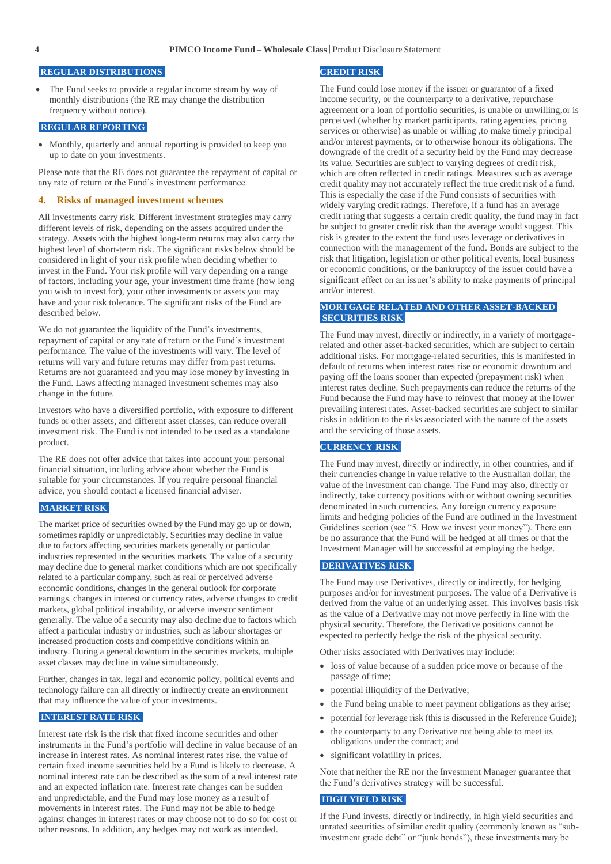#### **REGULAR DISTRIBUTIONS**

 The Fund seeks to provide a regular income stream by way of monthly distributions (the RE may change the distribution frequency without notice).

#### **REGULAR REPORTING**

• Monthly, quarterly and annual reporting is provided to keep you up to date on your investments.

Please note that the RE does not guarantee the repayment of capital or any rate of return or the Fund's investment performance.

#### **4. Risks of managed investment schemes**

All investments carry risk. Different investment strategies may carry different levels of risk, depending on the assets acquired under the strategy. Assets with the highest long-term returns may also carry the highest level of short-term risk. The significant risks below should be considered in light of your risk profile when deciding whether to invest in the Fund. Your risk profile will vary depending on a range of factors, including your age, your investment time frame (how long you wish to invest for), your other investments or assets you may have and your risk tolerance. The significant risks of the Fund are described below.

We do not guarantee the liquidity of the Fund's investments, repayment of capital or any rate of return or the Fund's investment performance. The value of the investments will vary. The level of returns will vary and future returns may differ from past returns. Returns are not guaranteed and you may lose money by investing in the Fund. Laws affecting managed investment schemes may also change in the future.

Investors who have a diversified portfolio, with exposure to different funds or other assets, and different asset classes, can reduce overall investment risk. The Fund is not intended to be used as a standalone product.

The RE does not offer advice that takes into account your personal financial situation, including advice about whether the Fund is suitable for your circumstances. If you require personal financial advice, you should contact a licensed financial adviser.

#### **MARKET RISK**

The market price of securities owned by the Fund may go up or down, sometimes rapidly or unpredictably. Securities may decline in value due to factors affecting securities markets generally or particular industries represented in the securities markets. The value of a security may decline due to general market conditions which are not specifically related to a particular company, such as real or perceived adverse economic conditions, changes in the general outlook for corporate earnings, changes in interest or currency rates, adverse changes to credit markets, global political instability, or adverse investor sentiment generally. The value of a security may also decline due to factors which affect a particular industry or industries, such as labour shortages or increased production costs and competitive conditions within an industry. During a general downturn in the securities markets, multiple asset classes may decline in value simultaneously.

Further, changes in tax, legal and economic policy, political events and technology failure can all directly or indirectly create an environment that may influence the value of your investments.

#### **INTEREST RATE RISK**

Interest rate risk is the risk that fixed income securities and other instruments in the Fund's portfolio will decline in value because of an increase in interest rates. As nominal interest rates rise, the value of certain fixed income securities held by a Fund is likely to decrease. A nominal interest rate can be described as the sum of a real interest rate and an expected inflation rate. Interest rate changes can be sudden and unpredictable, and the Fund may lose money as a result of movements in interest rates. The Fund may not be able to hedge against changes in interest rates or may choose not to do so for cost or other reasons. In addition, any hedges may not work as intended.

#### **CREDIT RISK**

The Fund could lose money if the issuer or guarantor of a fixed income security, or the counterparty to a derivative, repurchase agreement or a loan of portfolio securities, is unable or unwilling,or is perceived (whether by market participants, rating agencies, pricing services or otherwise) as unable or willing ,to make timely principal and/or interest payments, or to otherwise honour its obligations. The downgrade of the credit of a security held by the Fund may decrease its value. Securities are subject to varying degrees of credit risk, which are often reflected in credit ratings. Measures such as average credit quality may not accurately reflect the true credit risk of a fund. This is especially the case if the Fund consists of securities with widely varying credit ratings. Therefore, if a fund has an average credit rating that suggests a certain credit quality, the fund may in fact be subject to greater credit risk than the average would suggest. This risk is greater to the extent the fund uses leverage or derivatives in connection with the management of the fund. Bonds are subject to the risk that litigation, legislation or other political events, local business or economic conditions, or the bankruptcy of the issuer could have a significant effect on an issuer's ability to make payments of principal and/or interest.

#### **MORTGAGE RELATED AND OTHER ASSET-BACKED SECURITIES RISK**

The Fund may invest, directly or indirectly, in a variety of mortgagerelated and other asset-backed securities, which are subject to certain additional risks. For mortgage-related securities, this is manifested in default of returns when interest rates rise or economic downturn and paying off the loans sooner than expected (prepayment risk) when interest rates decline. Such prepayments can reduce the returns of the Fund because the Fund may have to reinvest that money at the lower prevailing interest rates. Asset-backed securities are subject to similar risks in addition to the risks associated with the nature of the assets and the servicing of those assets.

#### **CURRENCY RISK**

The Fund may invest, directly or indirectly, in other countries, and if their currencies change in value relative to the Australian dollar, the value of the investment can change. The Fund may also, directly or indirectly, take currency positions with or without owning securities denominated in such currencies. Any foreign currency exposure limits and hedging policies of the Fund are outlined in the Investment Guidelines section (see "5. How we invest your money"). There can be no assurance that the Fund will be hedged at all times or that the Investment Manager will be successful at employing the hedge.

#### **DERIVATIVES RISK**

The Fund may use Derivatives, directly or indirectly, for hedging purposes and/or for investment purposes. The value of a Derivative is derived from the value of an underlying asset. This involves basis risk as the value of a Derivative may not move perfectly in line with the physical security. Therefore, the Derivative positions cannot be expected to perfectly hedge the risk of the physical security.

Other risks associated with Derivatives may include:

- loss of value because of a sudden price move or because of the passage of time;
- potential illiquidity of the Derivative;
- the Fund being unable to meet payment obligations as they arise;
- potential for leverage risk (this is discussed in the Reference Guide);
- the counterparty to any Derivative not being able to meet its obligations under the contract; and
- significant volatility in prices.

Note that neither the RE nor the Investment Manager guarantee that the Fund's derivatives strategy will be successful.

#### **HIGH YIELD RISK**

If the Fund invests, directly or indirectly, in high yield securities and unrated securities of similar credit quality (commonly known as "subinvestment grade debt" or "junk bonds"), these investments may be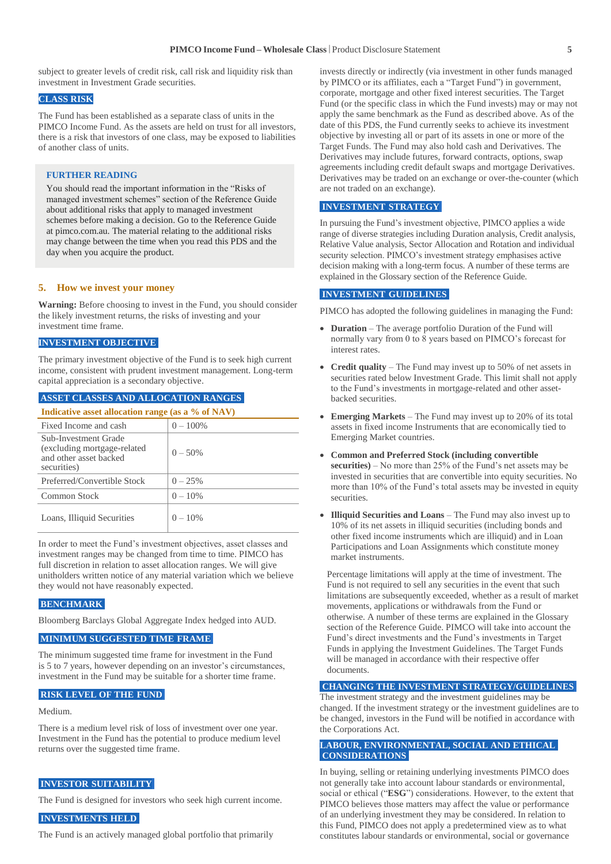subject to greater levels of credit risk, call risk and liquidity risk than investment in Investment Grade securities.

#### **CLASS RISK**

The Fund has been established as a separate class of units in the PIMCO Income Fund. As the assets are held on trust for all investors, there is a risk that investors of one class, may be exposed to liabilities of another class of units.

#### **FURTHER READING**

You should read the important information in the "Risks of managed investment schemes" section of the Reference Guide about additional risks that apply to managed investment schemes before making a decision. Go to the Reference Guide at pimco.com.au. The material relating to the additional risks may change between the time when you read this PDS and the day when you acquire the product.

#### **5. How we invest your money**

**Warning:** Before choosing to invest in the Fund, you should consider the likely investment returns, the risks of investing and your investment time frame.

#### **INVESTMENT OBJECTIVE**

The primary investment objective of the Fund is to seek high current income, consistent with prudent investment management. Long-term capital appreciation is a secondary objective.

#### **ASSET CLASSES AND ALLOCATION RANGES**

| Indicative asset allocation range (as a % of NAV)                                             |             |  |
|-----------------------------------------------------------------------------------------------|-------------|--|
| Fixed Income and cash                                                                         | $0 - 100\%$ |  |
| Sub-Investment Grade<br>(excluding mortgage-related)<br>and other asset backed<br>securities) | $0 - 50\%$  |  |
| Preferred/Convertible Stock                                                                   | $0 - 25%$   |  |
| Common Stock                                                                                  | $0 - 10\%$  |  |
| Loans, Illiquid Securities                                                                    | $0 - 10\%$  |  |

In order to meet the Fund's investment objectives, asset classes and investment ranges may be changed from time to time. PIMCO has full discretion in relation to asset allocation ranges. We will give unitholders written notice of any material variation which we believe they would not have reasonably expected.

#### **BENCHMARK**

Bloomberg Barclays Global Aggregate Index hedged into AUD.

#### **MINIMUM SUGGESTED TIME FRAME**

The minimum suggested time frame for investment in the Fund is 5 to 7 years, however depending on an investor's circumstances, investment in the Fund may be suitable for a shorter time frame.

#### **RISK LEVEL OF THE FUND**

Medium.

There is a medium level risk of loss of investment over one year. Investment in the Fund has the potential to produce medium level returns over the suggested time frame.

#### **INVESTOR SUITABILITY**

The Fund is designed for investors who seek high current income.

#### **INVESTMENTS HELD**

The Fund is an actively managed global portfolio that primarily

invests directly or indirectly (via investment in other funds managed by PIMCO or its affiliates, each a "Target Fund") in government, corporate, mortgage and other fixed interest securities. The Target Fund (or the specific class in which the Fund invests) may or may not apply the same benchmark as the Fund as described above. As of the date of this PDS, the Fund currently seeks to achieve its investment objective by investing all or part of its assets in one or more of the Target Funds. The Fund may also hold cash and Derivatives. The Derivatives may include futures, forward contracts, options, swap agreements including credit default swaps and mortgage Derivatives. Derivatives may be traded on an exchange or over-the-counter (which are not traded on an exchange).

#### **INVESTMENT STRATEGY**

In pursuing the Fund's investment objective, PIMCO applies a wide range of diverse strategies including Duration analysis, Credit analysis, Relative Value analysis, Sector Allocation and Rotation and individual security selection. PIMCO's investment strategy emphasises active decision making with a long-term focus. A number of these terms are explained in the Glossary section of the Reference Guide.

#### **INVESTMENT GUIDELINES**

PIMCO has adopted the following guidelines in managing the Fund:

- **Duration** The average portfolio Duration of the Fund will normally vary from 0 to 8 years based on PIMCO's forecast for interest rates.
- **Credit quality** The Fund may invest up to 50% of net assets in securities rated below Investment Grade. This limit shall not apply to the Fund's investments in mortgage-related and other assetbacked securities.
- **Emerging Markets** The Fund may invest up to 20% of its total assets in fixed income Instruments that are economically tied to Emerging Market countries.
- **Common and Preferred Stock (including convertible securities)** – No more than 25% of the Fund's net assets may be invested in securities that are convertible into equity securities. No more than 10% of the Fund's total assets may be invested in equity securities.
- **Illiquid Securities and Loans** The Fund may also invest up to 10% of its net assets in illiquid securities (including bonds and other fixed income instruments which are illiquid) and in Loan Participations and Loan Assignments which constitute money market instruments.

Percentage limitations will apply at the time of investment. The Fund is not required to sell any securities in the event that such limitations are subsequently exceeded, whether as a result of market movements, applications or withdrawals from the Fund or otherwise. A number of these terms are explained in the Glossary section of the Reference Guide. PIMCO will take into account the Fund's direct investments and the Fund's investments in Target Funds in applying the Investment Guidelines. The Target Funds will be managed in accordance with their respective offer documents.

#### **CHANGING THE INVESTMENT STRATEGY/GUIDELINES**

The investment strategy and the investment guidelines may be changed. If the investment strategy or the investment guidelines are to be changed, investors in the Fund will be notified in accordance with the Corporations Act.

#### **LABOUR, ENVIRONMENTAL, SOCIAL AND ETHICAL CONSIDERATIONS**

In buying, selling or retaining underlying investments PIMCO does not generally take into account labour standards or environmental, social or ethical ("**ESG**") considerations. However, to the extent that PIMCO believes those matters may affect the value or performance of an underlying investment they may be considered. In relation to this Fund, PIMCO does not apply a predetermined view as to what constitutes labour standards or environmental, social or governance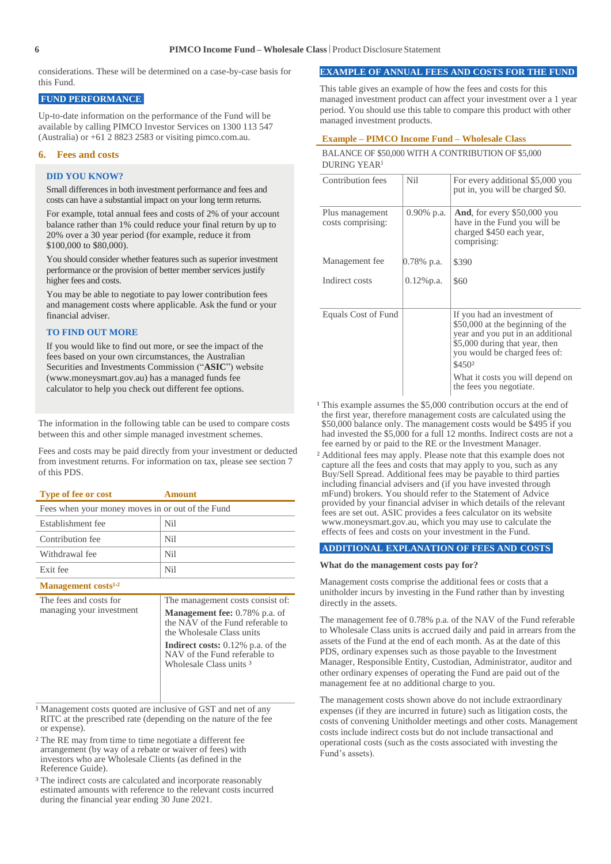considerations. These will be determined on a case-by-case basis for this Fund.

#### **FUND PERFORMANCE**

Up-to-date information on the performance of the Fund will be available by calling PIMCO Investor Services on 1300 113 547 (Australia) or +61 2 8823 2583 or visiting pimco.com.au.

#### **6. Fees and costs**

#### **DID YOU KNOW?**

Small differences in both investment performance and fees and costs can have a substantial impact on your long term returns.

For example, total annual fees and costs of 2% of your account balance rather than 1% could reduce your final return by up to 20% over a 30 year period (for example, reduce it from \$100,000 to \$80,000).

You should consider whether features such as superior investment performance or the provision of better member services justify higher fees and costs.

You may be able to negotiate to pay lower contribution fees and management costs where applicable. Ask the fund or your financial adviser.

#### **TO FIND OUT MORE**

If you would like to find out more, or see the impact of the fees based on your own circumstances, the Australian Securities and Investments Commission ("**ASIC**") website (www.moneysmart.gov.au) has a managed funds fee calculator to help you check out different fee options.

The information in the following table can be used to compare costs between this and other simple managed investment schemes.

Fees and costs may be paid directly from your investment or deducted from investment returns. For information on tax, please see section 7 of this PDS.

| <b>Type of fee or cost</b>                         | <b>Amount</b>                                                                                                                                                                                                                                                  |  |
|----------------------------------------------------|----------------------------------------------------------------------------------------------------------------------------------------------------------------------------------------------------------------------------------------------------------------|--|
| Fees when your money moves in or out of the Fund   |                                                                                                                                                                                                                                                                |  |
| Establishment fee                                  | Nil                                                                                                                                                                                                                                                            |  |
| Contribution fee                                   | Nil                                                                                                                                                                                                                                                            |  |
| Withdrawal fee                                     | Nil                                                                                                                                                                                                                                                            |  |
| Exit fee                                           | Nil                                                                                                                                                                                                                                                            |  |
| Management costs <sup>1,2</sup>                    |                                                                                                                                                                                                                                                                |  |
| The fees and costs for<br>managing your investment | The management costs consist of:<br><b>Management fee:</b> 0.78% p.a. of<br>the NAV of the Fund referable to<br>the Wholesale Class units<br><b>Indirect costs:</b> $0.12\%$ p.a. of the<br>NAV of the Fund referable to<br>Wholesale Class units <sup>3</sup> |  |

<sup>1</sup> Management costs quoted are inclusive of GST and net of any RITC at the prescribed rate (depending on the nature of the fee or expense).

² The RE may from time to time negotiate a different fee arrangement (by way of a rebate or waiver of fees) with investors who are Wholesale Clients (as defined in the Reference Guide).

<sup>3</sup> The indirect costs are calculated and incorporate reasonably estimated amounts with reference to the relevant costs incurred during the financial year ending 30 June 2021.

#### **EXAMPLE OF ANNUAL FEES AND COSTS FOR THE FUND**

This table gives an example of how the fees and costs for this managed investment product can affect your investment over a 1 year period. You should use this table to compare this product with other managed investment products.

#### **Example – PIMCO Income Fund – Wholesale Class**

#### BALANCE OF \$50,000 WITH A CONTRIBUTION OF \$5,000 DURING YEAR<sup>1</sup>

| Contribution fees                    | <b>Nil</b>    | For every additional \$5,000 you<br>put in, you will be charged \$0.                                                                                                                          |
|--------------------------------------|---------------|-----------------------------------------------------------------------------------------------------------------------------------------------------------------------------------------------|
| Plus management<br>costs comprising: | $0.90\%$ p.a. | <b>And,</b> for every \$50,000 you<br>have in the Fund you will be<br>charged \$450 each year,<br>comprising:                                                                                 |
| Management fee                       | 0.78% p.a.    | \$390                                                                                                                                                                                         |
| Indirect costs                       | $0.12\%$ p.a. | \$60                                                                                                                                                                                          |
|                                      |               |                                                                                                                                                                                               |
| Equals Cost of Fund                  |               | If you had an investment of<br>\$50,000 at the beginning of the<br>year and you put in an additional<br>\$5,000 during that year, then<br>you would be charged fees of:<br>\$450 <sup>2</sup> |
|                                      |               | What it costs you will depend on<br>the fees you negotiate.                                                                                                                                   |

- $1$  This example assumes the \$5,000 contribution occurs at the end of the first year, therefore management costs are calculated using the \$50,000 balance only. The management costs would be \$495 if you had invested the \$5,000 for a full 12 months. Indirect costs are not a fee earned by or paid to the RE or the Investment Manager.
- ² Additional fees may apply. Please note that this example does not capture all the fees and costs that may apply to you, such as any Buy/Sell Spread. Additional fees may be payable to third parties including financial advisers and (if you have invested through mFund) brokers. You should refer to the Statement of Advice provided by your financial adviser in which details of the relevant fees are set out. ASIC provides a fees calculator on its website www.moneysmart.gov.au, which you may use to calculate the effects of fees and costs on your investment in the Fund.

#### **ADDITIONAL EXPLANATION OF FEES AND COSTS**

#### **What do the management costs pay for?**

Management costs comprise the additional fees or costs that a unitholder incurs by investing in the Fund rather than by investing directly in the assets.

The management fee of 0.78% p.a. of the NAV of the Fund referable to Wholesale Class units is accrued daily and paid in arrears from the assets of the Fund at the end of each month. As at the date of this PDS, ordinary expenses such as those payable to the Investment Manager, Responsible Entity, Custodian, Administrator, auditor and other ordinary expenses of operating the Fund are paid out of the management fee at no additional charge to you.

The management costs shown above do not include extraordinary expenses (if they are incurred in future) such as litigation costs, the costs of convening Unitholder meetings and other costs. Management costs include indirect costs but do not include transactional and operational costs (such as the costs associated with investing the Fund's assets).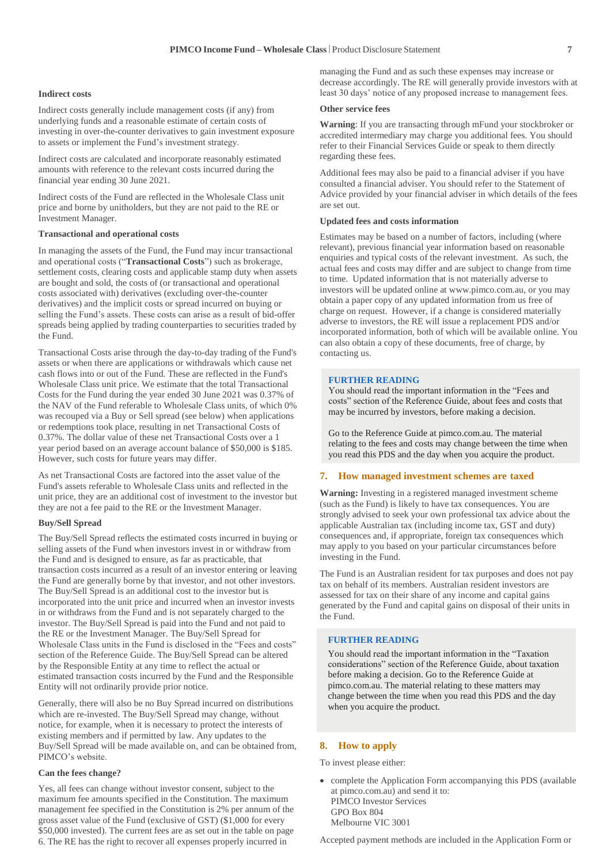#### **Indirect costs**

Indirect costs generally include management costs (if any) from underlying funds and a reasonable estimate of certain costs of investing in over-the-counter derivatives to gain investment exposure to assets or implement the Fund's investment strategy.

Indirect costs are calculated and incorporate reasonably estimated amounts with reference to the relevant costs incurred during the financial year ending 30 June 2021.

Indirect costs of the Fund are reflected in the Wholesale Class unit price and borne by unitholders, but they are not paid to the RE or Investment Manager.

#### **Transactional and operational costs**

In managing the assets of the Fund, the Fund may incur transactional and operational costs ("**Transactional Costs**") such as brokerage, settlement costs, clearing costs and applicable stamp duty when assets are bought and sold, the costs of (or transactional and operational costs associated with) derivatives (excluding over-the-counter derivatives) and the implicit costs or spread incurred on buying or selling the Fund's assets. These costs can arise as a result of bid-offer spreads being applied by trading counterparties to securities traded by the Fund.

Transactional Costs arise through the day-to-day trading of the Fund's assets or when there are applications or withdrawals which cause net cash flows into or out of the Fund. These are reflected in the Fund's Wholesale Class unit price. We estimate that the total Transactional Costs for the Fund during the year ended 30 June 2021 was 0.37% of the NAV of the Fund referable to Wholesale Class units, of which 0% was recouped via a Buy or Sell spread (see below) when applications or redemptions took place, resulting in net Transactional Costs of 0.37%. The dollar value of these net Transactional Costs over a 1 year period based on an average account balance of \$50,000 is \$185. However, such costs for future years may differ.

As net Transactional Costs are factored into the asset value of the Fund's assets referable to Wholesale Class units and reflected in the unit price, they are an additional cost of investment to the investor but they are not a fee paid to the RE or the Investment Manager.

#### **Buy/Sell Spread**

The Buy/Sell Spread reflects the estimated costs incurred in buying or selling assets of the Fund when investors invest in or withdraw from the Fund and is designed to ensure, as far as practicable, that transaction costs incurred as a result of an investor entering or leaving the Fund are generally borne by that investor, and not other investors. The Buy/Sell Spread is an additional cost to the investor but is incorporated into the unit price and incurred when an investor invests in or withdraws from the Fund and is not separately charged to the investor. The Buy/Sell Spread is paid into the Fund and not paid to the RE or the Investment Manager. The Buy/Sell Spread for Wholesale Class units in the Fund is disclosed in the "Fees and costs" section of the Reference Guide. The Buy/Sell Spread can be altered by the Responsible Entity at any time to reflect the actual or estimated transaction costs incurred by the Fund and the Responsible Entity will not ordinarily provide prior notice.

Generally, there will also be no Buy Spread incurred on distributions which are re-invested. The Buy/Sell Spread may change, without notice, for example, when it is necessary to protect the interests of existing members and if permitted by law. Any updates to the Buy/Sell Spread will be made available on, and can be obtained from, PIMCO's website.

#### **Can the fees change?**

Yes, all fees can change without investor consent, subject to the maximum fee amounts specified in the Constitution. The maximum management fee specified in the Constitution is 2% per annum of the gross asset value of the Fund (exclusive of GST) (\$1,000 for every \$50,000 invested). The current fees are as set out in the table on page 6. The RE has the right to recover all expenses properly incurred in

managing the Fund and as such these expenses may increase or decrease accordingly. The RE will generally provide investors with at least 30 days' notice of any proposed increase to management fees.

#### **Other service fees**

**Warning**: If you are transacting through mFund your stockbroker or accredited intermediary may charge you additional fees. You should refer to their Financial Services Guide or speak to them directly regarding these fees.

Additional fees may also be paid to a financial adviser if you have consulted a financial adviser. You should refer to the Statement of Advice provided by your financial adviser in which details of the fees are set out.

#### **Updated fees and costs information**

Estimates may be based on a number of factors, including (where relevant), previous financial year information based on reasonable enquiries and typical costs of the relevant investment. As such, the actual fees and costs may differ and are subject to change from time to time. Updated information that is not materially adverse to investors will be updated online at [www.pimco.com.au,](http://www.pimco.com.au/) or you may obtain a paper copy of any updated information from us free of charge on request. However, if a change is considered materially adverse to investors, the RE will issue a replacement PDS and/or incorporated information, both of which will be available online. You can also obtain a copy of these documents, free of charge, by contacting us.

#### **FURTHER READING**

You should read the important information in the "Fees and costs" section of the Reference Guide, about fees and costs that may be incurred by investors, before making a decision.

Go to the Reference Guide at pimco.com.au. The material relating to the fees and costs may change between the time when you read this PDS and the day when you acquire the product.

#### **7. How managed investment schemes are taxed**

**Warning:** Investing in a registered managed investment scheme (such as the Fund) is likely to have tax consequences. You are strongly advised to seek your own professional tax advice about the applicable Australian tax (including income tax, GST and duty) consequences and, if appropriate, foreign tax consequences which may apply to you based on your particular circumstances before investing in the Fund.

The Fund is an Australian resident for tax purposes and does not pay tax on behalf of its members. Australian resident investors are assessed for tax on their share of any income and capital gains generated by the Fund and capital gains on disposal of their units in the Fund.

#### **FURTHER READING**

You should read the important information in the "Taxation considerations" section of the Reference Guide, about taxation before making a decision. Go to the Reference Guide at pimco.com.au. The material relating to these matters may change between the time when you read this PDS and the day when you acquire the product.

#### **8. How to apply**

To invest please either:

 complete the Application Form accompanying this PDS (available at pimco.com.au) and send it to: PIMCO Investor Services GPO Box 804 Melbourne VIC 3001

Accepted payment methods are included in the Application Form or